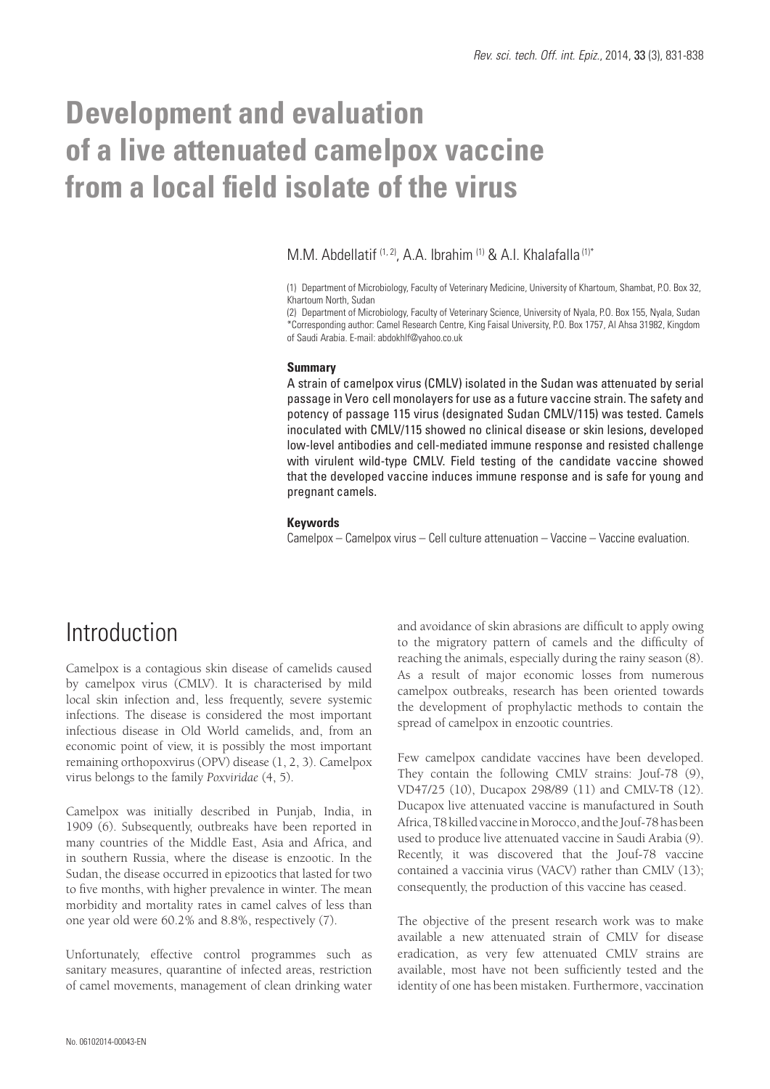# **Development and evaluation of a live attenuated camelpox vaccine from a local field isolate of the virus**

M.M. Abdellatif (1, 2), A.A. Ibrahim (1) & A.I. Khalafalla (1)\*

(1) Department of Microbiology, Faculty of Veterinary Medicine, University of Khartoum, Shambat, P.O. Box 32, Khartoum North, Sudan

(2) Department of Microbiology, Faculty of Veterinary Science, University of Nyala, P.O. Box 155, Nyala, Sudan \*Corresponding author: Camel Research Centre, King Faisal University, P.O. Box 1757, Al Ahsa 31982, Kingdom of Saudi Arabia. E-mail: abdokhlf@yahoo.co.uk

#### **Summary**

A strain of camelpox virus (CMLV) isolated in the Sudan was attenuated by serial passage in Vero cell monolayers for use as a future vaccine strain. The safety and potency of passage 115 virus (designated Sudan CMLV/115) was tested. Camels inoculated with CMLV/115 showed no clinical disease or skin lesions, developed low-level antibodies and cell-mediated immune response and resisted challenge with virulent wild-type CMLV. Field testing of the candidate vaccine showed that the developed vaccine induces immune response and is safe for young and pregnant camels.

#### **Keywords**

Camelpox – Camelpox virus – Cell culture attenuation – Vaccine – Vaccine evaluation.

### Introduction

Camelpox is a contagious skin disease of camelids caused by camelpox virus (CMLV). It is characterised by mild local skin infection and, less frequently, severe systemic infections. The disease is considered the most important infectious disease in Old World camelids, and, from an economic point of view, it is possibly the most important remaining orthopoxvirus (OPV) disease (1, 2, 3). Camelpox virus belongs to the family *Poxviridae* (4, 5).

Camelpox was initially described in Punjab, India, in 1909 (6). Subsequently, outbreaks have been reported in many countries of the Middle East, Asia and Africa, and in southern Russia, where the disease is enzootic. In the Sudan, the disease occurred in epizootics that lasted for two to five months, with higher prevalence in winter. The mean morbidity and mortality rates in camel calves of less than one year old were 60.2% and 8.8%, respectively (7).

Unfortunately, effective control programmes such as sanitary measures, quarantine of infected areas, restriction of camel movements, management of clean drinking water and avoidance of skin abrasions are difficult to apply owing to the migratory pattern of camels and the difficulty of reaching the animals, especially during the rainy season (8). As a result of major economic losses from numerous camelpox outbreaks, research has been oriented towards the development of prophylactic methods to contain the spread of camelpox in enzootic countries.

Few camelpox candidate vaccines have been developed. They contain the following CMLV strains: Jouf-78 (9), VD47/25 (10), Ducapox 298/89 (11) and CMLV-T8 (12). Ducapox live attenuated vaccine is manufactured in South Africa, T8 killed vaccine in Morocco, and the Jouf-78 has been used to produce live attenuated vaccine in Saudi Arabia (9). Recently, it was discovered that the Jouf-78 vaccine contained a vaccinia virus (VACV) rather than CMLV (13); consequently, the production of this vaccine has ceased.

The objective of the present research work was to make available a new attenuated strain of CMLV for disease eradication, as very few attenuated CMLV strains are available, most have not been sufficiently tested and the identity of one has been mistaken. Furthermore, vaccination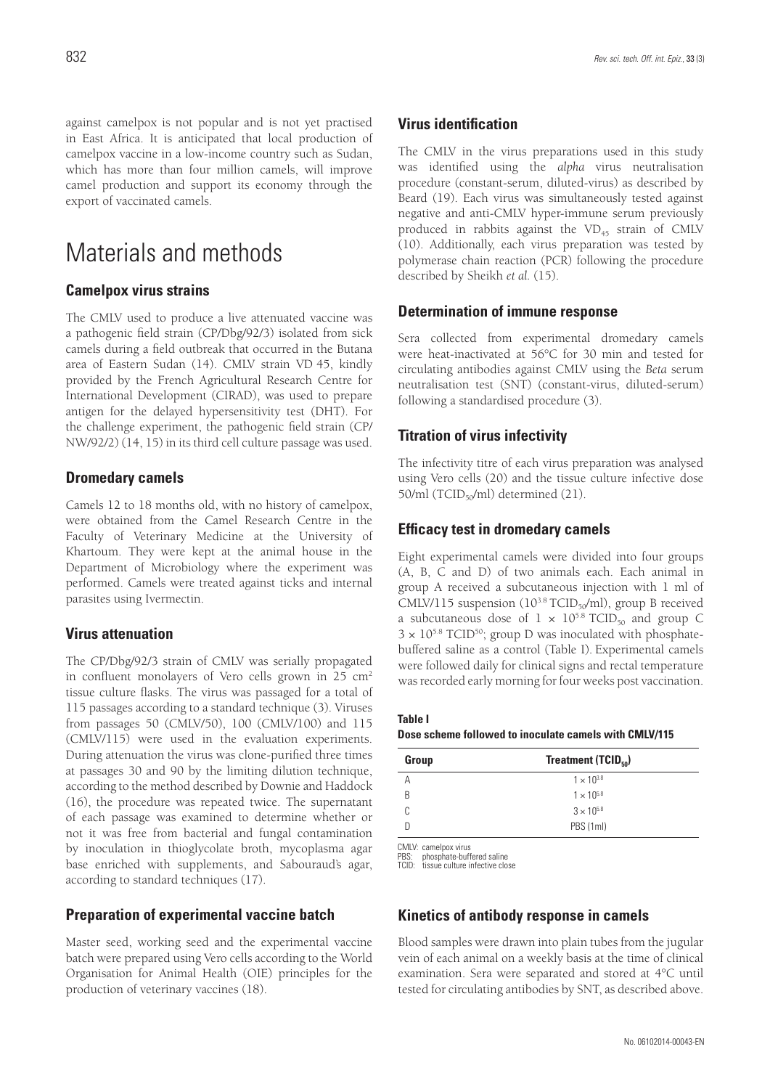against camelpox is not popular and is not yet practised in East Africa. It is anticipated that local production of camelpox vaccine in a low-income country such as Sudan, which has more than four million camels, will improve camel production and support its economy through the export of vaccinated camels.

### Materials and methods

#### **Camelpox virus strains**

The CMLV used to produce a live attenuated vaccine was a pathogenic field strain (CP/Dbg/92/3) isolated from sick camels during a field outbreak that occurred in the Butana area of Eastern Sudan (14). CMLV strain VD 45, kindly provided by the French Agricultural Research Centre for International Development (CIRAD), was used to prepare antigen for the delayed hypersensitivity test (DHT). For the challenge experiment, the pathogenic field strain (CP/ NW/92/2) (14, 15) in its third cell culture passage was used.

#### **Dromedary camels**

Camels 12 to 18 months old, with no history of camelpox, were obtained from the Camel Research Centre in the Faculty of Veterinary Medicine at the University of Khartoum. They were kept at the animal house in the Department of Microbiology where the experiment was performed. Camels were treated against ticks and internal parasites using Ivermectin.

#### **Virus attenuation**

The CP/Dbg/92/3 strain of CMLV was serially propagated in confluent monolayers of Vero cells grown in 25 cm<sup>2</sup> tissue culture flasks. The virus was passaged for a total of 115 passages according to a standard technique (3). Viruses from passages 50 (CMLV/50), 100 (CMLV/100) and 115 (CMLV/115) were used in the evaluation experiments. During attenuation the virus was clone-purified three times at passages 30 and 90 by the limiting dilution technique, according to the method described by Downie and Haddock (16), the procedure was repeated twice. The supernatant of each passage was examined to determine whether or not it was free from bacterial and fungal contamination by inoculation in thioglycolate broth, mycoplasma agar base enriched with supplements, and Sabouraud's agar, according to standard techniques (17).

#### **Preparation of experimental vaccine batch**

Master seed, working seed and the experimental vaccine batch were prepared using Vero cells according to the World Organisation for Animal Health (OIE) principles for the production of veterinary vaccines (18).

#### **Virus identification**

The CMLV in the virus preparations used in this study was identified using the *alpha* virus neutralisation procedure (constant-serum, diluted-virus) as described by Beard (19). Each virus was simultaneously tested against negative and anti-CMLV hyper-immune serum previously produced in rabbits against the  $VD_{45}$  strain of CMLV (10). Additionally, each virus preparation was tested by polymerase chain reaction (PCR) following the procedure described by Sheikh *et al.* (15).

#### **Determination of immune response**

Sera collected from experimental dromedary camels were heat-inactivated at 56°C for 30 min and tested for circulating antibodies against CMLV using the *Beta* serum neutralisation test (SNT) (constant-virus, diluted-serum) following a standardised procedure (3).

#### **Titration of virus infectivity**

The infectivity titre of each virus preparation was analysed using Vero cells (20) and the tissue culture infective dose 50/ml (TCID $_{50}$ /ml) determined (21).

#### **Efficacy test in dromedary camels**

Eight experimental camels were divided into four groups (A, B, C and D) of two animals each. Each animal in group A received a subcutaneous injection with 1 ml of CMLV/115 suspension ( $10^{3.8}$  TCID<sub>50</sub>/ml), group B received a subcutaneous dose of  $1 \times 10^{5.8}$  TCID<sub>50</sub> and group C  $3 \times 10^{5.8}$  TCID<sup>50</sup>; group D was inoculated with phosphatebuffered saline as a control (Table I). Experimental camels were followed daily for clinical signs and rectal temperature was recorded early morning for four weeks post vaccination.

**Table I**

**Dose scheme followed to inoculate camels with CMLV/115**

| Group | Treatment $(TCID_{50})$ |  |
|-------|-------------------------|--|
| А     | $1 \times 10^{3.8}$     |  |
| R     | $1 \times 10^{5.8}$     |  |
| C     | $3 \times 10^{5.8}$     |  |
| n     | PBS (1ml)               |  |

CMLV: camelpox virus

PBS: phosphate-buffered saline TCID: tissue culture infective close

#### **Kinetics of antibody response in camels**

Blood samples were drawn into plain tubes from the jugular vein of each animal on a weekly basis at the time of clinical examination. Sera were separated and stored at 4°C until tested for circulating antibodies by SNT, as described above.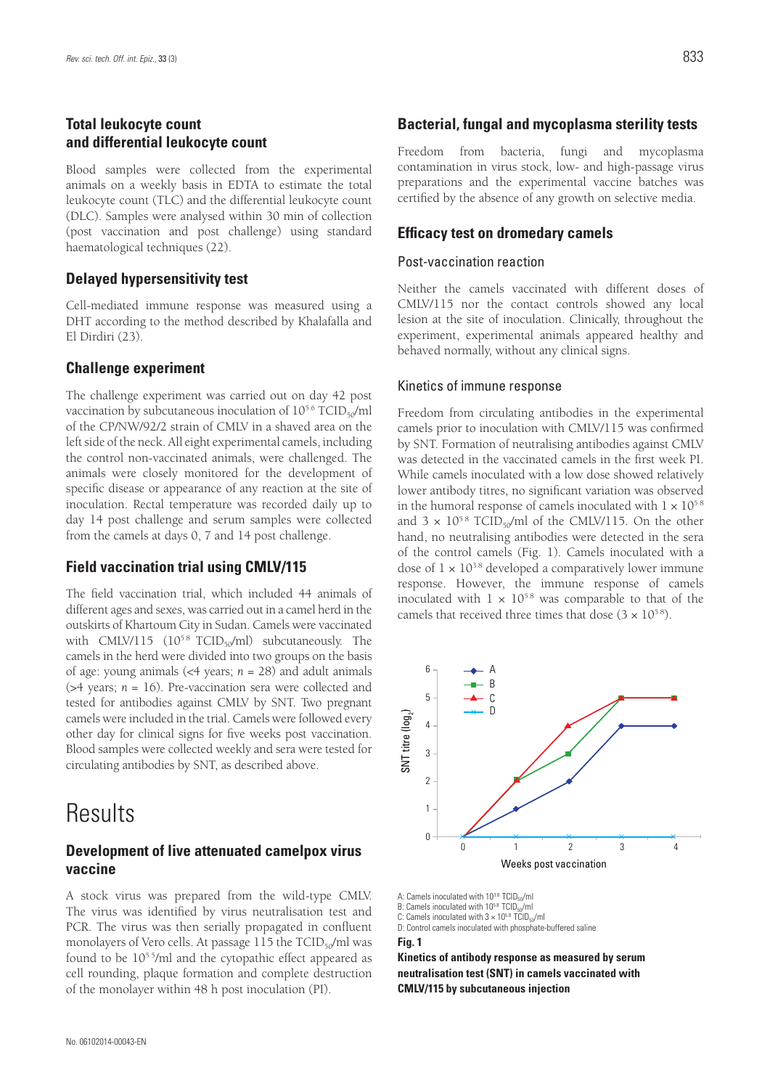#### **Total leukocyte count and differential leukocyte count**

Blood samples were collected from the experimental animals on a weekly basis in EDTA to estimate the total leukocyte count (TLC) and the differential leukocyte count (DLC). Samples were analysed within 30 min of collection (post vaccination and post challenge) using standard haematological techniques (22).

#### **Delayed hypersensitivity test**

Cell-mediated immune response was measured using a DHT according to the method described by Khalafalla and El Dirdiri (23).

#### **Challenge experiment**

The challenge experiment was carried out on day 42 post vaccination by subcutaneous inoculation of  $10^{5.6}$  TCID<sub>50</sub>/ml of the CP/NW/92/2 strain of CMLV in a shaved area on the left side of the neck. All eight experimental camels, including the control non-vaccinated animals, were challenged. The animals were closely monitored for the development of specific disease or appearance of any reaction at the site of inoculation. Rectal temperature was recorded daily up to day 14 post challenge and serum samples were collected from the camels at days 0, 7 and 14 post challenge.

#### **Field vaccination trial using CMLV/115**

The field vaccination trial, which included 44 animals of different ages and sexes, was carried out in a camel herd in the outskirts of Khartoum City in Sudan. Camels were vaccinated with CMLV/115  $(10^{5.8}$  TCID<sub>50</sub>/ml) subcutaneously. The camels in the herd were divided into two groups on the basis of age: young animals (<4 years; *n* = 28) and adult animals (>4 years; *n* = 16). Pre-vaccination sera were collected and tested for antibodies against CMLV by SNT. Two pregnant camels were included in the trial. Camels were followed every other day for clinical signs for five weeks post vaccination. Blood samples were collected weekly and sera were tested for circulating antibodies by SNT, as described above.

### **Results**

### **Development of live attenuated camelpox virus vaccine**

A stock virus was prepared from the wild-type CMLV. The virus was identified by virus neutralisation test and PCR. The virus was then serially propagated in confluent monolayers of Vero cells. At passage  $115$  the TCID<sub>50</sub>/ml was found to be 105.5/ml and the cytopathic effect appeared as cell rounding, plaque formation and complete destruction of the monolayer within 48 h post inoculation (PI).

#### **Bacterial, fungal and mycoplasma sterility tests**

Freedom from bacteria, fungi and mycoplasma contamination in virus stock, low- and high-passage virus preparations and the experimental vaccine batches was certified by the absence of any growth on selective media.

#### **Efficacy test on dromedary camels**

#### Post-vaccination reaction

Neither the camels vaccinated with different doses of CMLV/115 nor the contact controls showed any local lesion at the site of inoculation. Clinically, throughout the experiment, experimental animals appeared healthy and behaved normally, without any clinical signs.

#### Kinetics of immune response

Freedom from circulating antibodies in the experimental camels prior to inoculation with CMLV/115 was confirmed by SNT. Formation of neutralising antibodies against CMLV was detected in the vaccinated camels in the first week PI. While camels inoculated with a low dose showed relatively lower antibody titres, no significant variation was observed in the humoral response of camels inoculated with  $1 \times 10^{5.8}$ and  $3 \times 10^{5.8}$  TCID<sub>50</sub>/ml of the CMLV/115. On the other hand, no neutralising antibodies were detected in the sera of the control camels (Fig. 1). Camels inoculated with a dose of  $1 \times 10^{3.8}$  developed a comparatively lower immune response. However, the immune response of camels inoculated with  $1 \times 10^{5.8}$  was comparable to that of the camels that received three times that dose  $(3 \times 10^{5.8})$ .



A: Camels inoculated with 10<sup>3.8</sup> TCID<sub>50</sub>/ml

B: Camels inoculated with 10<sup>5.8</sup> TCID<sub>50</sub>/ml

C: Camels inoculated with  $3 \times 10^{58}$  TCID<sub>50</sub>/ml

D: Control camels inoculated with phosphate-buffered saline

**Fig. 1**

**Kinetics of antibody response as measured by serum neutralisation test (SNT) in camels vaccinated with CMLV/115 by subcutaneous injection**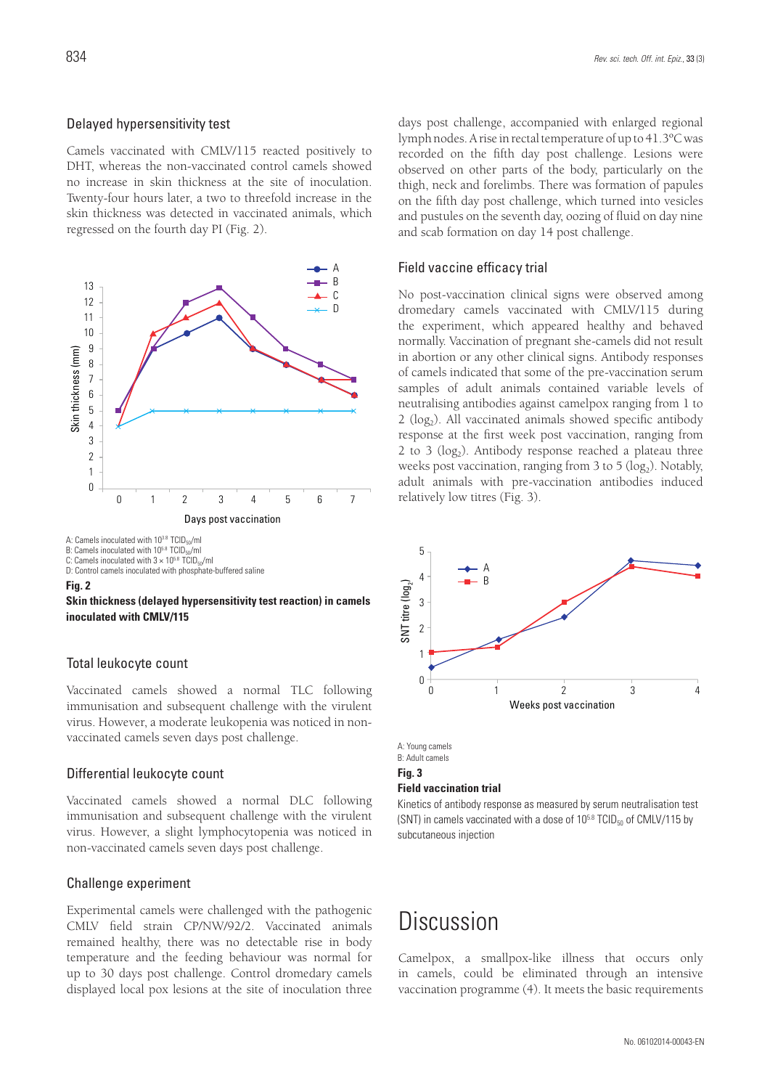Camels vaccinated with CMLV/115 reacted positively to DHT, whereas the non-vaccinated control camels showed no increase in skin thickness at the site of inoculation. Twenty-four hours later, a two to threefold increase in the skin thickness was detected in vaccinated animals, which regressed on the fourth day PI (Fig. 2).



D: Control camels inoculated with phosphate-buffered saline

#### **Fig. 2**



#### Total leukocyte count

Vaccinated camels showed a normal TLC following immunisation and subsequent challenge with the virulent virus. However, a moderate leukopenia was noticed in nonvaccinated camels seven days post challenge.

#### Differential leukocyte count

Vaccinated camels showed a normal DLC following immunisation and subsequent challenge with the virulent virus. However, a slight lymphocytopenia was noticed in non-vaccinated camels seven days post challenge.

#### Challenge experiment

Experimental camels were challenged with the pathogenic CMLV field strain CP/NW/92/2. Vaccinated animals remained healthy, there was no detectable rise in body temperature and the feeding behaviour was normal for up to 30 days post challenge. Control dromedary camels displayed local pox lesions at the site of inoculation three days post challenge, accompanied with enlarged regional lymph nodes. A rise in rectal temperature of up to 41.3ºC was recorded on the fifth day post challenge. Lesions were observed on other parts of the body, particularly on the thigh, neck and forelimbs. There was formation of papules on the fifth day post challenge, which turned into vesicles and pustules on the seventh day, oozing of fluid on day nine and scab formation on day 14 post challenge.

#### Field vaccine efficacy trial

No post-vaccination clinical signs were observed among dromedary camels vaccinated with CMLV/115 during the experiment, which appeared healthy and behaved normally. Vaccination of pregnant she-camels did not result in abortion or any other clinical signs. Antibody responses of camels indicated that some of the pre-vaccination serum samples of adult animals contained variable levels of neutralising antibodies against camelpox ranging from 1 to  $2$  (log<sub>2</sub>). All vaccinated animals showed specific antibody response at the first week post vaccination, ranging from 2 to 3 ( $log<sub>2</sub>$ ). Antibody response reached a plateau three weeks post vaccination, ranging from  $3$  to  $5$  (log<sub>2</sub>). Notably, adult animals with pre-vaccination antibodies induced relatively low titres (Fig. 3).



A: Young camels B: Adult camels **Fig. 3 Field vaccination trial**

Kinetics of antibody response as measured by serum neutralisation test (SNT) in camels vaccinated with a dose of  $10^{5.8}$  TCID $_{50}$  of CMLV/115 by subcutaneous injection

### Discussion

Camelpox, a smallpox-like illness that occurs only in camels, could be eliminated through an intensive vaccination programme (4). It meets the basic requirements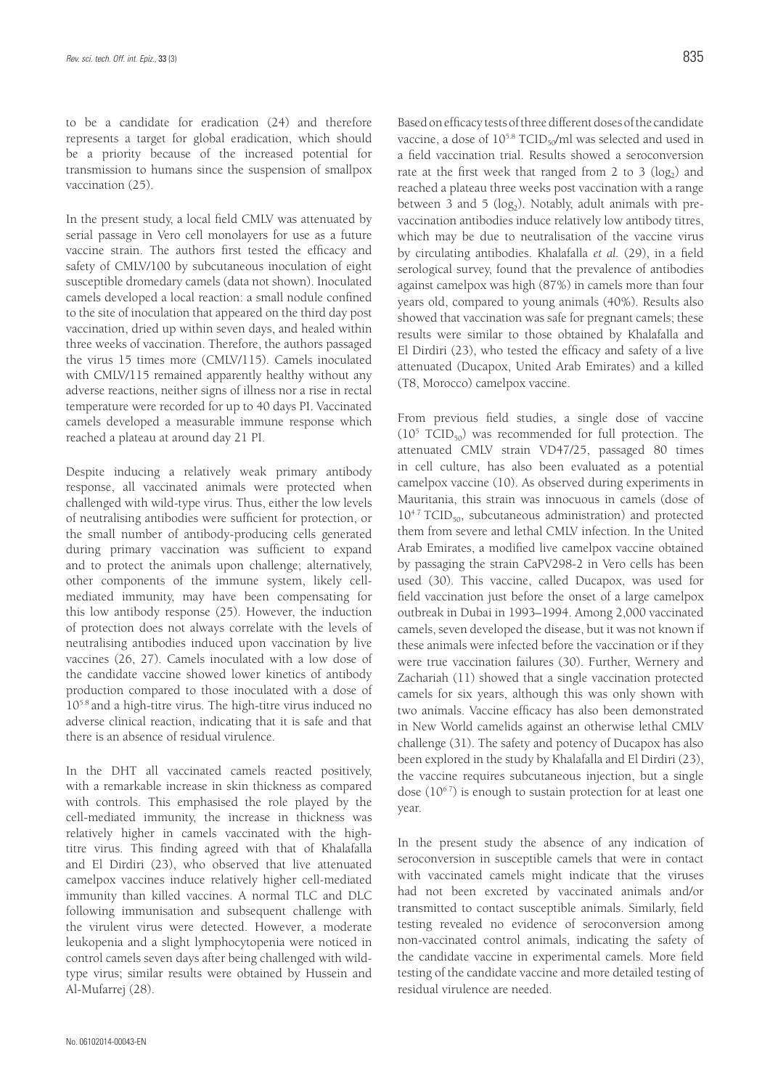to be a candidate for eradication (24) and therefore represents a target for global eradication, which should be a priority because of the increased potential for transmission to humans since the suspension of smallpox vaccination (25).

In the present study, a local field CMLV was attenuated by serial passage in Vero cell monolayers for use as a future vaccine strain. The authors first tested the efficacy and safety of CMLV/100 by subcutaneous inoculation of eight susceptible dromedary camels (data not shown). Inoculated camels developed a local reaction: a small nodule confined to the site of inoculation that appeared on the third day post vaccination, dried up within seven days, and healed within three weeks of vaccination. Therefore, the authors passaged the virus 15 times more (CMLV/115). Camels inoculated with CMLV/115 remained apparently healthy without any adverse reactions, neither signs of illness nor a rise in rectal temperature were recorded for up to 40 days PI. Vaccinated camels developed a measurable immune response which reached a plateau at around day 21 PI.

Despite inducing a relatively weak primary antibody response, all vaccinated animals were protected when challenged with wild-type virus. Thus, either the low levels of neutralising antibodies were sufficient for protection, or the small number of antibody-producing cells generated during primary vaccination was sufficient to expand and to protect the animals upon challenge; alternatively, other components of the immune system, likely cellmediated immunity, may have been compensating for this low antibody response (25). However, the induction of protection does not always correlate with the levels of neutralising antibodies induced upon vaccination by live vaccines (26, 27). Camels inoculated with a low dose of the candidate vaccine showed lower kinetics of antibody production compared to those inoculated with a dose of 105.8 and a high-titre virus. The high-titre virus induced no adverse clinical reaction, indicating that it is safe and that there is an absence of residual virulence.

In the DHT all vaccinated camels reacted positively, with a remarkable increase in skin thickness as compared with controls. This emphasised the role played by the cell-mediated immunity, the increase in thickness was relatively higher in camels vaccinated with the hightitre virus. This finding agreed with that of Khalafalla and El Dirdiri (23), who observed that live attenuated camelpox vaccines induce relatively higher cell-mediated immunity than killed vaccines. A normal TLC and DLC following immunisation and subsequent challenge with the virulent virus were detected. However, a moderate leukopenia and a slight lymphocytopenia were noticed in control camels seven days after being challenged with wildtype virus; similar results were obtained by Hussein and Al-Mufarrej (28).

Based on efficacy tests of three different doses of the candidate vaccine, a dose of  $10^{5.8}$  TCID<sub>50</sub>/ml was selected and used in a field vaccination trial. Results showed a seroconversion rate at the first week that ranged from 2 to 3 ( $log<sub>2</sub>$ ) and reached a plateau three weeks post vaccination with a range between 3 and 5 ( $log<sub>2</sub>$ ). Notably, adult animals with prevaccination antibodies induce relatively low antibody titres, which may be due to neutralisation of the vaccine virus by circulating antibodies. Khalafalla *et al.* (29), in a field serological survey, found that the prevalence of antibodies against camelpox was high (87%) in camels more than four years old, compared to young animals (40%). Results also showed that vaccination was safe for pregnant camels; these results were similar to those obtained by Khalafalla and El Dirdiri (23), who tested the efficacy and safety of a live attenuated (Ducapox, United Arab Emirates) and a killed (T8, Morocco) camelpox vaccine.

From previous field studies, a single dose of vaccine  $(10<sup>5</sup> TCID<sub>50</sub>)$  was recommended for full protection. The attenuated CMLV strain VD47/25, passaged 80 times in cell culture, has also been evaluated as a potential camelpox vaccine (10). As observed during experiments in Mauritania, this strain was innocuous in camels (dose of  $10^{4.7}$  TCID<sub>50</sub>, subcutaneous administration) and protected them from severe and lethal CMLV infection. In the United Arab Emirates, a modified live camelpox vaccine obtained by passaging the strain CaPV298-2 in Vero cells has been used (30). This vaccine, called Ducapox, was used for field vaccination just before the onset of a large camelpox outbreak in Dubai in 1993–1994. Among 2,000 vaccinated camels, seven developed the disease, but it was not known if these animals were infected before the vaccination or if they were true vaccination failures (30). Further, Wernery and Zachariah (11) showed that a single vaccination protected camels for six years, although this was only shown with two animals. Vaccine efficacy has also been demonstrated in New World camelids against an otherwise lethal CMLV challenge (31). The safety and potency of Ducapox has also been explored in the study by Khalafalla and El Dirdiri (23), the vaccine requires subcutaneous injection, but a single dose  $(10^{6.7})$  is enough to sustain protection for at least one year.

In the present study the absence of any indication of seroconversion in susceptible camels that were in contact with vaccinated camels might indicate that the viruses had not been excreted by vaccinated animals and/or transmitted to contact susceptible animals. Similarly, field testing revealed no evidence of seroconversion among non-vaccinated control animals, indicating the safety of the candidate vaccine in experimental camels. More field testing of the candidate vaccine and more detailed testing of residual virulence are needed.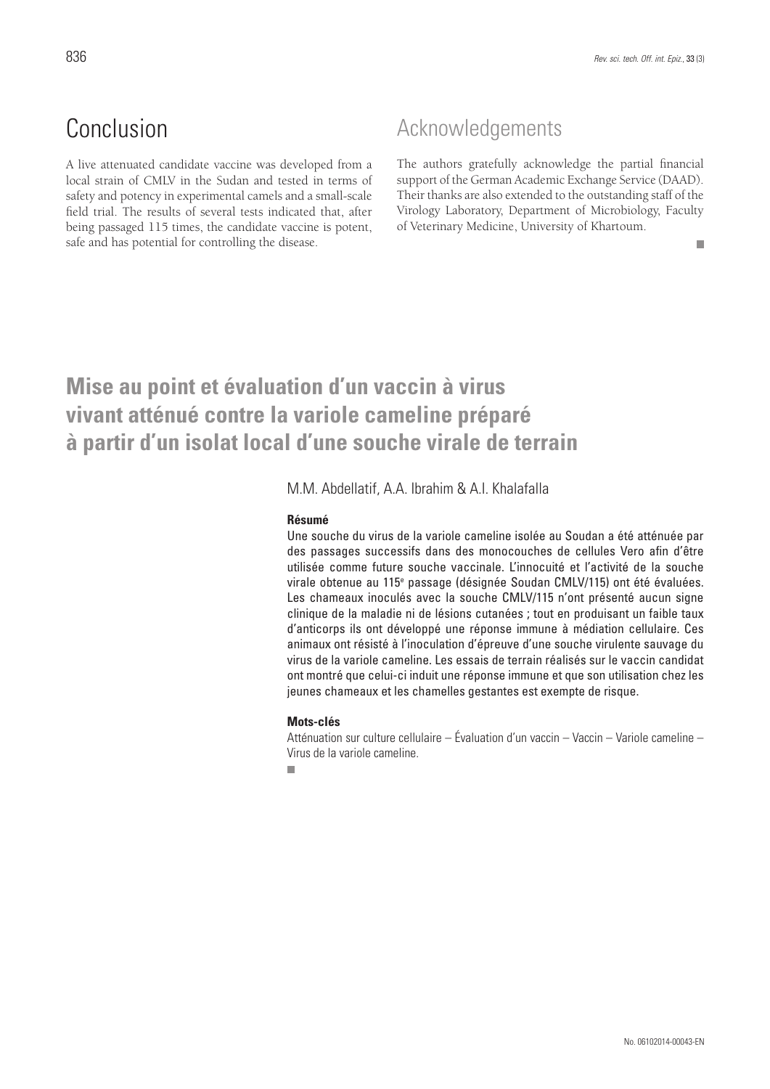## Conclusion

A live attenuated candidate vaccine was developed from a local strain of CMLV in the Sudan and tested in terms of safety and potency in experimental camels and a small-scale field trial. The results of several tests indicated that, after being passaged 115 times, the candidate vaccine is potent, safe and has potential for controlling the disease.

### Acknowledgements

The authors gratefully acknowledge the partial financial support of the German Academic Exchange Service (DAAD). Their thanks are also extended to the outstanding staff of the Virology Laboratory, Department of Microbiology, Faculty of Veterinary Medicine, University of Khartoum.

#### $\blacksquare$

## **Mise au point et évaluation d'un vaccin à virus vivant atténué contre la variole cameline préparé à partir d'un isolat local d'une souche virale de terrain**

M.M. Abdellatif, A.A. Ibrahim & A.I. Khalafalla

#### **Résumé**

Une souche du virus de la variole cameline isolée au Soudan a été atténuée par des passages successifs dans des monocouches de cellules Vero afin d'être utilisée comme future souche vaccinale. L'innocuité et l'activité de la souche virale obtenue au 115e passage (désignée Soudan CMLV/115) ont été évaluées. Les chameaux inoculés avec la souche CMLV/115 n'ont présenté aucun signe clinique de la maladie ni de lésions cutanées ; tout en produisant un faible taux d'anticorps ils ont développé une réponse immune à médiation cellulaire. Ces animaux ont résisté à l'inoculation d'épreuve d'une souche virulente sauvage du virus de la variole cameline. Les essais de terrain réalisés sur le vaccin candidat ont montré que celui-ci induit une réponse immune et que son utilisation chez les jeunes chameaux et les chamelles gestantes est exempte de risque.

#### **Mots-clés**

Atténuation sur culture cellulaire – Évaluation d'un vaccin – Vaccin – Variole cameline – Virus de la variole cameline.

 $\overline{\phantom{a}}$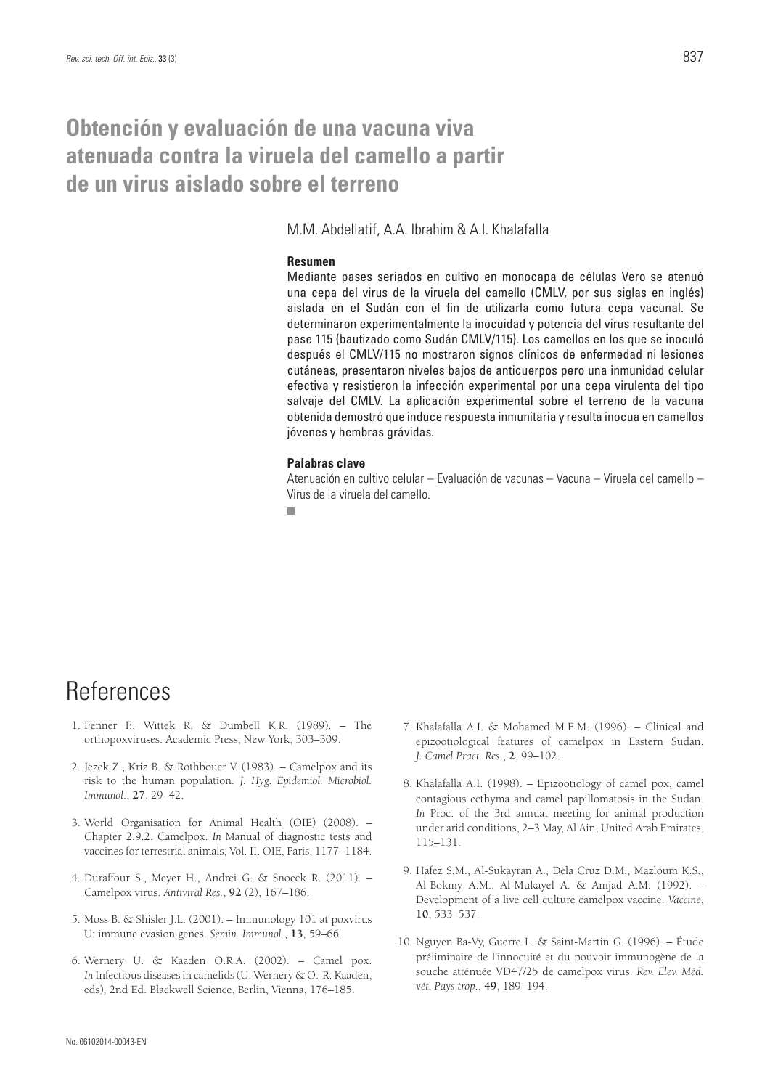### **Obtención y evaluación de una vacuna viva atenuada contra la viruela del camello a partir de un virus aislado sobre el terreno**

M.M. Abdellatif, A.A. Ibrahim & A.I. Khalafalla

#### **Resumen**

Mediante pases seriados en cultivo en monocapa de células Vero se atenuó una cepa del virus de la viruela del camello (CMLV, por sus siglas en inglés) aislada en el Sudán con el fin de utilizarla como futura cepa vacunal. Se determinaron experimentalmente la inocuidad y potencia del virus resultante del pase 115 (bautizado como Sudán CMLV/115). Los camellos en los que se inoculó después el CMLV/115 no mostraron signos clínicos de enfermedad ni lesiones cutáneas, presentaron niveles bajos de anticuerpos pero una inmunidad celular efectiva y resistieron la infección experimental por una cepa virulenta del tipo salvaje del CMLV. La aplicación experimental sobre el terreno de la vacuna obtenida demostró que induce respuesta inmunitaria y resulta inocua en camellos jóvenes y hembras grávidas.

#### **Palabras clave**

Atenuación en cultivo celular – Evaluación de vacunas – Vacuna – Viruela del camello – Virus de la viruela del camello.

 $\blacksquare$ 

## References

- 1. Fenner F., Wittek R. & Dumbell K.R. (1989). The orthopoxviruses. Academic Press, New York, 303–309.
- 2. Jezek Z., Kriz B. & Rothbouer V. (1983). Camelpox and its risk to the human population. *J. Hyg. Epidemiol. Microbiol. Immunol*., **27**, 29–42.
- 3. World Organisation for Animal Health (OIE) (2008). Chapter 2.9.2. Camelpox. *In* Manual of diagnostic tests and vaccines for terrestrial animals, Vol. II. OIE, Paris, 1177–1184.
- 4. Duraffour S., Meyer H., Andrei G. & Snoeck R. (2011). Camelpox virus. *Antiviral Res.*, **92** (2), 167–186.
- 5. Moss B. & Shisler J.L. (2001). Immunology 101 at poxvirus U: immune evasion genes. *Semin. Immunol*., **13**, 59–66.
- 6. Wernery U. & Kaaden O.R.A. (2002). Camel pox. *In* Infectious diseases in camelids (U. Wernery & O.-R. Kaaden, eds)*,* 2nd Ed. Blackwell Science, Berlin, Vienna, 176–185.
- 7. Khalafalla A.I. & Mohamed M.E.M. (1996). Clinical and epizootiological features of camelpox in Eastern Sudan. *J. Camel Pract. Res*., **2**, 99–102.
- 8. Khalafalla A.I. (1998). Epizootiology of camel pox, camel contagious ecthyma and camel papillomatosis in the Sudan. *In* Proc. of the 3rd annual meeting for animal production under arid conditions, 2–3 May, Al Ain, United Arab Emirates, 115–131.
- 9. Hafez S.M., Al-Sukayran A., Dela Cruz D.M., Mazloum K.S., Al-Bokmy A.M., Al-Mukayel A. & Amjad A.M. (1992). – Development of a live cell culture camelpox vaccine. *Vaccine*, **10**, 533–537.
- 10. Nguyen Ba-Vy, Guerre L. & Saint-Martin G. (1996). Étude préliminaire de l'innocuité et du pouvoir immunogène de la souche atténuée VD47/25 de camelpox virus. *Rev. Elev. Méd. vét. Pays trop*., **49**, 189–194.